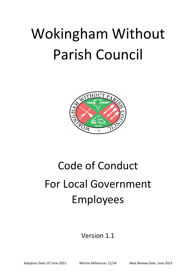# Wokingham Without Parish Council



## Code of Conduct For Local Government Employees

### Version 1.1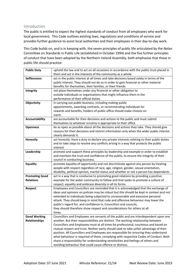#### Introduction

The public is entitled to expect the highest standards of conduct from all employees who work for local government. This Code outlines existing laws, regulations and conditions of service and provides further guidance to assist local authorities and their employees in their day-to-day work.

This Code builds on, and is in keeping with, the seven principles of public life articulated by the Nolan Committee on Standards in Public Life (established in October 1994) and the five further principles of conduct that have been adopted by the Northern Ireland Assembly, both emphasise that those in public life should practice:

| <b>Public Duty</b>    | uphold the law and to act on all occasions in accordance with the public trust placed in   |
|-----------------------|--------------------------------------------------------------------------------------------|
|                       | them and act in the interests of the community as a whole                                  |
| <b>Selflessness</b>   | act in the public interest at all times and take decisions based solely in terms of the    |
|                       | public interest. They should not do so in order to gain financial or other material        |
|                       | benefits for themselves, their families, or their friends                                  |
| Integrity             | not place themselves under any financial or other obligation to                            |
|                       | outside individuals or organisations that might influence them in the                      |
|                       | performance of their official duties                                                       |
| Objectivity           | in carrying out public business, including making public                                   |
|                       | appointments, awarding contracts, or recommending individuals for                          |
|                       | rewards and benefits, holders of public office should make choices on                      |
|                       | merit.                                                                                     |
| <b>Accountability</b> | are accountable for their decisions and actions to the public and must submit              |
|                       | themselves to whatever scrutiny is appropriate to their office                             |
| <b>Openness</b>       | be as open as possible about all the decisions and actions they take. They should give     |
|                       | reasons for their decisions and restrict information only when the wider public interest   |
|                       | clearly demands it.                                                                        |
| Honestly              | act honestly. Have a duty to declare any private interests relating to their public duties |
|                       | and to take steps to resolve any conflicts arising in a way that protects the public       |
|                       | interest                                                                                   |
| Leadership            | promote and support these principles by leadership and example in order to establish       |
|                       | and maintain the trust and confidence of the public, to ensure the integrity of their      |
|                       | council in conducting business.                                                            |
| <b>Equality</b>       | promote equality of opportunity and not discriminate against any person by treating        |
|                       | people with respect regardless of race, age, religion, gender, sexual orientation,         |
|                       | disability, political opinion, marital status and whether or not a person has dependants   |
| <b>Promoting Good</b> | act in a way that is conducive to promoting good relations by providing a positive         |
| <b>Relations</b>      | example for the wider community to follow and that seeks to promote a culture of           |
|                       | respect, equality and embrace diversity in all its forms                                   |
| <b>Respect</b>        | Employees and Councillors are reminded that it is acknowledged that the exchange of        |
|                       | ideas and opinions on policies may be robust but this should be kept in context and not    |
|                       | extended to individuals being subjected to unreasonable and excessive personal             |
|                       | attack. They should keep in mind that rude and offensive behaviour may lower the           |
|                       | public's regard for, and confidence in, Councillors and councils,                          |
|                       | they should therefore show respect and considerations for others at all                    |
|                       | times.                                                                                     |
| <b>Good Working</b>   | Councillors and Employees are servants of the public and are interdependent upon one       |
| <b>Relationships</b>  | another. But their responsibilities are distinct. The working relationship between         |
|                       | Councillors and Employees must at all times be professional, courteous and based on        |
|                       | mutual respect and trust. Neither party should seek to take unfair advantage of their      |
|                       | position. All Councillors and Employees are responsible for ensuring they understand       |
|                       | what behaviour is required of them, complying with respective Codes of Conduct. Both       |
|                       | share a responsibility for understanding sensitivities and feelings of others and          |
|                       | avoiding behaviour that could cause offence or distress.                                   |
|                       |                                                                                            |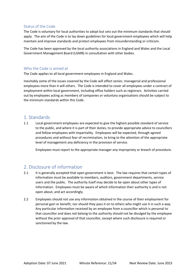#### Status of the Code

The Code is voluntary for local authorities to adopt but sets out the minimum standards that should apply. The aim of the Code is to lay down guidelines for local government employees which will help maintain and improve standards and protect employees from misunderstanding or criticism.

The Code has been approved by the local authority associations in England and Wales and the Local Government Management Board (LGMB) in consultation with other bodies.

#### Who the Code is aimed at

The Code applies to all local government employees in England and Wales.

Inevitably some of the issues covered by the Code will affect senior, managerial and professional employees more than it will others. The Code is intended to cover all employees under a contract of employment within local government, including office holders such as registrars. Activities carried out by employees acting as members of companies or voluntary organisations should be subject to the minimum standards within this Code.

#### 1. Standards

1.1 Local government employees are expected to give the highest possible standard of service to the public, and where it is part of their duties, to provide appropriate advice to councillors and fellow employees with impartiality. Employees will be expected, through agreed procedures and without fear of recrimination, to bring to the attention of the appropriate level of management any deficiency in the provision of service.

Employees must report to the appropriate manager any impropriety or breach of procedure.

#### 2. Disclosure of information

- 2.1 It is generally accepted that open government is best. The law requires that certain types of information must be available to members, auditors, government departments, service users and the public. The authority itself may decide to be open about other types of information. Employees must be aware of which information their authority is and is not open about, and act accordingly.
- 2.2 Employees should not use any information obtained in the course of their employment for personal gain or benefit, nor should they pass it on to others who might use it in such a way. Any particular information received by an employee from a councillor which is personal to that councillor and does not belong to the authority should not be divulged by the employee without the prior approval of that councillor, except where such disclosure is required or sanctioned by the law.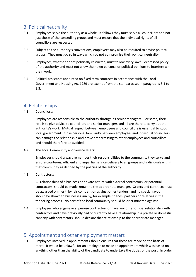#### 3. Political neutrality

- 3.1 Employees serve the authority as a whole. It follows they must serve all councillors and not just those of the controlling group, and must ensure that the individual rights of all councillors are respected.
- 3.2 Subject to the authority's conventions, employees may also be required to advise political groups. They must do so in ways which do not compromise their political neutrality.
- 3.3 Employees, whether or not politically restricted, must follow every lawful expressed policy of the authority and must not allow their own personal or political opinions to interfere with their work.
- 3.4 Political assistants appointed on fixed term contracts in accordance with the Local Government and Housing Act 1989 are exempt from the standards set in paragraphs 3.1 to 3.3.

#### 4. Relationships

#### 4.1 Councillors:

Employees are responsible to the authority through its senior managers. For some, their role is to give advice to councillors and senior managers and all are there to carry out the authority's work. Mutual respect between employees and councillors is essential to good local government. Close personal familiarity between employees and individual councillors can damage the relationship and prove embarrassing to other employees and councillors and should therefore be avoided.

#### 4.2 The Local Community and Service Users:

Employees should always remember their responsibilities to the community they serve and ensure courteous, efficient and impartial service delivery to all groups and individuals within that community as defined by the policies of the authority.

#### 4.3 Contractors:

All relationships of a business or private nature with external contractors, or potential contractors, should be made known to the appropriate manager. Orders and contracts must be awarded on merit, by fair competition against other tenders, and no special favour should be shown to businesses run by, for example, friends, partners or relatives in the tendering process. No part of the local community should be discriminated against.

4.4 Employees who engage or supervise contractors or have any other official relationship with contractors and have previously had or currently have a relationship in a private or domestic capacity with contractors, should declare that relationship to the appropriate manager.

#### 5. Appointment and other employment matters

5.1 Employees involved in appointments should ensure that these are made on the basis of merit. It would be unlawful for an employee to make an appointment which was based on anything other than the ability of the candidate to undertake the duties of the post. In order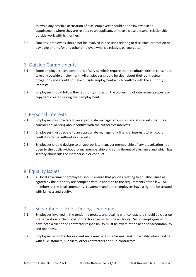to avoid any possible accusation of bias, employees should not be involved in an appointment where they are related to an applicant, or have a close personal relationship outside work with him or her.

5.2 Similarly, employees should not be involved in decisions relating to discipline, promotion or pay adjustments for any other employee who is a relative, partner, etc.

#### 6. Outside Commitments

- 6.1 Some employees have conditions of service which require them to obtain written consent to take any outside employment. All employees should be clear about their contractual obligations and should not take outside employment which conflicts with the authority's interests.
- 6.2 Employees should follow their authority's rules on the ownership of intellectual property or copyright created during their employment.

#### 7. Personal interests

- 7.1 Employees must declare to an appropriate manager any non-financial interests that they consider could bring about conflict with the authority's interests.
- 7.2 Employees must declare to an appropriate manager any financial interests which could conflict with the authority's interests.
- 7.3 Employees should declare to an appropriate manager membership of any organisation not open to the public without formal membership and commitment of allegiance and which has secrecy about rules or membership or conduct.

#### 8. Equality issues

8.1 All local government employees should ensure that policies relating to equality issues as agreed by the authority are complied with in addition to the requirements of the law. All members of the local community, customers and other employees have a right to be treated with fairness and equity.

#### 9. Separation of Roles During Tendering

- 9.1 Employees involved in the tendering process and dealing with contractors should be clear on the separation of client and contractor roles within the authority. Senior employees who have both a client and contractor responsibility must be aware of the need for accountability and openness.
- 9.2 Employees in contractor or client units must exercise fairness and impartiality when dealing with all customers, suppliers, other contractors and sub-contractors.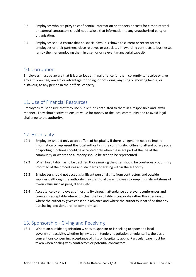- 9.3 Employees who are privy to confidential information on tenders or costs for either internal or external contractors should not disclose that information to any unauthorised party or organisation.
- 9.4 Employees should ensure that no special favour is shown to current or recent former employees or their partners, close relatives or associates in awarding contracts to businesses run by them or employing them in a senior or relevant managerial capacity.

#### 10. Corruption

Employees must be aware that it is a serious criminal offence for them corruptly to receive or give any gift, loan, fee, reward or advantage for doing, or not doing, anything or showing favour, or disfavour, to any person in their official capacity.

#### 11. Use of Financial Resources

Employees must ensure that they use public funds entrusted to them in a responsible and lawful manner. They should strive to ensure value for money to the local community and to avoid legal challenge to the authority.

#### 12. Hospitality

- 12.1 Employees should only accept offers of hospitality if there is a genuine need to impart information or represent the local authority in the community. Offers to attend purely social or sporting functions should be accepted only when these are part of the life of the community or where the authority should be seen to be represented.
- 12.2 When hospitality has to be declined those making the offer should be courteously but firmly informed of the procedures and standards operating within the authority.
- 12.3 Employees should not accept significant personal gifts from contractors and outside suppliers, although the authority may wish to allow employees to keep insignificant items of token value such as pens, diaries, etc.
- 12.4 Acceptance by employees of hospitality through attendance at relevant conferences and courses is acceptable where it is clear the hospitality is corporate rather than personal, where the authority gives consent in advance and where the authority is satisfied that any purchasing decisions are not compromised.

#### 13. Sponsorship - Giving and Receiving

13.1 Where an outside organisation wishes to sponsor or is seeking to sponsor a local government activity, whether by invitation, tender, negotiation or voluntarily, the basic conventions concerning acceptance of gifts or hospitality apply. Particular care must be taken when dealing with contractors or potential contractors.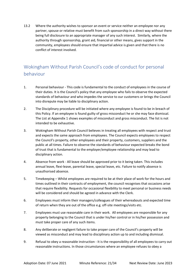13.2 Where the authority wishes to sponsor an event or service neither an employee nor any partner, spouse or relative must benefit from such sponsorship in a direct way without there being full disclosure to an appropriate manager of any such interest. Similarly, where the authority through sponsorship, grant aid, financial or other means, gives support in the community, employees should ensure that impartial advice is given and that there is no conflict of interest involved.

#### Wokingham Without Parish Council's code of conduct for personal behaviour

- 1. Personal behaviour This code is fundamental to the conduct of employees in the course of their duties. It is the Council's policy that any employee who fails to observe the expected standards of behaviour and who impedes the service to our customers or brings the Council into disrepute may be liable to disciplinary action.
- 2. The Disciplinary procedure will be initiated where any employee is found to be in breach of this Policy. If an employee is found guilty of gross misconduct he or she may face dismissal. The List at Appendix 1 shows examples of misconduct and gross misconduct. The list is not intended to be exhaustive.
- 3. Wokingham Without Parish Council believes in treating all employees with respect and trust and expects the same approach from employees. The Council expects employees to respect the Council's property, other employees and their property, customers, suppliers and the public at all times. Failure to observe the standards of behaviour expected breaks the bond of trust that is fundamental to the employer/employee relationship and may lead to disciplinary action.
- 4. Absence from work All leave should be approved prior to it being taken. This includes annual leave, flexi-leave, parental leave, special leave, etc. Failure to notify absence is unauthorised absence.
- 5. Timekeeping Whilst employees are required to be at their place of work for the hours and times outlined in their contracts of employment, the council recognises that occasions arise that require flexibility. Requests for occasional flexibility to meet personal or business needs will be considered and should be agreed in advance with the Clerk.
- 6. Employees must inform their managers/colleagues of their whereabouts and expected time of return when they are out of the office e.g. off-site meetings/visits etc.
- 7. Employees must use reasonable care in their work. All employees are responsible for any property belonging to the Council that is under his/her control or in his/her possession and must take proper care of any such items.
- 8. Any deliberate or negligent failure to take proper care of the Council's property will be viewed as misconduct and may lead to disciplinary action up to and including dismissal.
- 9. Refusal to obey a reasonable instruction It is the responsibility of all employees to carry out reasonable instructions. In those circumstances where an employee refuses to obey a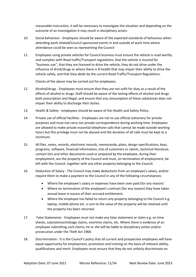reasonable instruction, it will be necessary to investigate the situation and depending on the outcome of an investigation it may result in disciplinary action.

- 10. Social behaviour Employees should be aware of the expected standards of behaviour when attending work related/Council sponsored events in and outside of work time where attendance could be seen as representing the Council
- 11. Employees using private vehicles for Council business must ensure the vehicle is road worthy and complies with Road traffic/Transport regulations, that the vehicle is insured for "business use", that they are licensed to drive the vehicle, they do not drive under the influence of drink/drugs or where there is ill health that may impair their ability to drive the vehicle safely, and that they abide by the current Road Traffic/Transport Regulations.

Checks of the above may be carried out for employees.

- 12. Alcohol/drugs Employees must ensure that they are not unfit for duty as a result of the effects of alcohol or drugs. Staff should be aware of the lasting effects of alcohol and drugs both prescription and illegal, and ensure that any consumption of these substances does not impair their ability to discharge their duties.
- 13. Health & Safety employees should be aware of the Health and Safety Policy.
- 14. Private use of official facilities Employees are not to use official stationery for private purposes and must not carry out private correspondence during working time. Employees are allowed to make private essential telephone calls that cannot be made outside working hours but this privilege must not be abused and the duration of all calls must be kept to a minimum.
- 15. All files, notes, records, electronic records, memoranda, plans, design specifications, keys, programs, software, financial information, lists of customers or clients, technical literature, contact lists and other documents used or prepared by the employee, during their employment, are the property of the Council and must, on termination of employment, be left with the Council, together with any other property belonging to the Council.
- 16. Deduction of Salary The Council may make deductions from an employee's salary, and/or require them to make a payment to the Council in any of the following circumstances:
	- Where the employee's salary or expenses have been over paid (for any reason)
	- Where on termination of the employee's contract (for any reason) they have taken annual leave in excess of their accrued entitlement;
	- Where the employee has failed to return any property belonging to the Council e.g. laptop, mobile phone etc. a sum to the value of the property will be retained until the property has been returned.
- 17. False Statements Employees must not make any false statement or claim e.g. on time sheets, subsistence/mileage claims, overtime claims, etc. Where there is evidence of an employee submitting such claims, he or she will be liable to disciplinary action and/or prosecution under the Theft Act 1968.
- 18. Discrimination It is the Council's policy that all current and prospective employees will have equal opportunity for employment, promotion and training on the basis of relevant ability, qualifications and merit. Employees must ensure that they do not unfairly discriminate on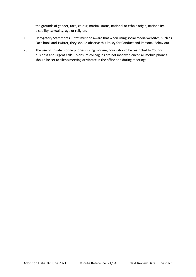the grounds of gender, race, colour, marital status, national or ethnic origin, nationality, disability, sexuality, age or religion.

- 19. Derogatory Statements Staff must be aware that when using social media websites, such as Face book and Twitter, they should observe this Policy for Conduct and Personal Behaviour.
- 20. The use of private mobile phones during working hours should be restricted to Council business and urgent calls. To ensure colleagues are not inconvenienced all mobile phones should be set to silent/meeting or vibrate in the office and during meetings